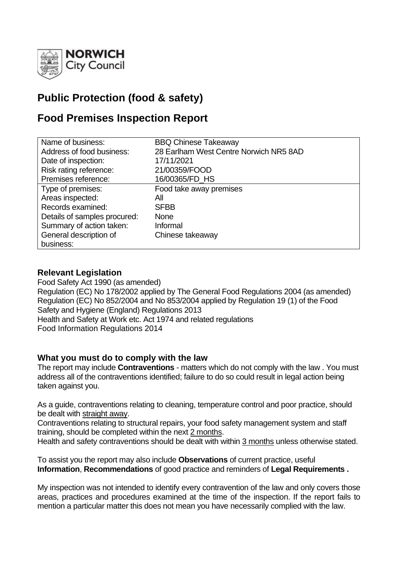

# **Public Protection (food & safety)**

# **Food Premises Inspection Report**

| Name of business:            | <b>BBQ Chinese Takeaway</b>            |
|------------------------------|----------------------------------------|
| Address of food business:    | 28 Earlham West Centre Norwich NR5 8AD |
| Date of inspection:          | 17/11/2021                             |
| Risk rating reference:       | 21/00359/FOOD                          |
| Premises reference:          | 16/00365/FD HS                         |
| Type of premises:            | Food take away premises                |
| Areas inspected:             | All                                    |
| Records examined:            | <b>SFBB</b>                            |
| Details of samples procured: | <b>None</b>                            |
| Summary of action taken:     | Informal                               |
| General description of       | Chinese takeaway                       |
| business:                    |                                        |

## **Relevant Legislation**

Food Safety Act 1990 (as amended) Regulation (EC) No 178/2002 applied by The General Food Regulations 2004 (as amended) Regulation (EC) No 852/2004 and No 853/2004 applied by Regulation 19 (1) of the Food Safety and Hygiene (England) Regulations 2013 Health and Safety at Work etc. Act 1974 and related regulations Food Information Regulations 2014

## **What you must do to comply with the law**

The report may include **Contraventions** - matters which do not comply with the law . You must address all of the contraventions identified; failure to do so could result in legal action being taken against you.

As a guide, contraventions relating to cleaning, temperature control and poor practice, should be dealt with straight away.

Contraventions relating to structural repairs, your food safety management system and staff training, should be completed within the next 2 months.

Health and safety contraventions should be dealt with within 3 months unless otherwise stated.

To assist you the report may also include **Observations** of current practice, useful **Information**, **Recommendations** of good practice and reminders of **Legal Requirements .**

My inspection was not intended to identify every contravention of the law and only covers those areas, practices and procedures examined at the time of the inspection. If the report fails to mention a particular matter this does not mean you have necessarily complied with the law.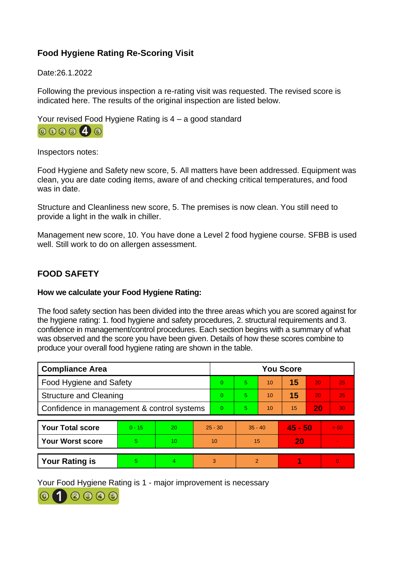# **Food Hygiene Rating Re-Scoring Visit**

Date:26.1.2022

Following the previous inspection a re-rating visit was requested. The revised score is indicated here. The results of the original inspection are listed below.

Your revised Food Hygiene Rating is 4 – a good standard



Inspectors notes:

Food Hygiene and Safety new score, 5. All matters have been addressed. Equipment was clean, you are date coding items, aware of and checking critical temperatures, and food was in date.

Structure and Cleanliness new score, 5. The premises is now clean. You still need to provide a light in the walk in chiller.

Management new score, 10. You have done a Level 2 food hygiene course. SFBB is used well. Still work to do on allergen assessment.

# **FOOD SAFETY**

#### **How we calculate your Food Hygiene Rating:**

The food safety section has been divided into the three areas which you are scored against for the hygiene rating: 1. food hygiene and safety procedures, 2. structural requirements and 3. confidence in management/control procedures. Each section begins with a summary of what was observed and the score you have been given. Details of how these scores combine to produce your overall food hygiene rating are shown in the table.

| <b>Compliance Area</b>                     |          |    |           | <b>You Score</b> |               |    |           |    |                 |
|--------------------------------------------|----------|----|-----------|------------------|---------------|----|-----------|----|-----------------|
| <b>Food Hygiene and Safety</b>             |          |    |           | 0                | 5.            | 10 | 15        | 20 | 25              |
| <b>Structure and Cleaning</b>              |          |    |           | 0                | 5.            | 10 | 15        | 20 | 25              |
| Confidence in management & control systems |          |    |           | $\overline{0}$   | 5.            | 10 | 15        | 20 | 30              |
|                                            |          |    |           |                  |               |    |           |    |                 |
| <b>Your Total score</b>                    | $0 - 15$ | 20 | $25 - 30$ |                  | $35 - 40$     |    | $45 - 50$ |    | 50 <sub>1</sub> |
| <b>Your Worst score</b>                    | 5        | 10 | 10        |                  | 15            |    | 20        |    |                 |
|                                            |          |    |           |                  |               |    |           |    |                 |
| <b>Your Rating is</b>                      | 5        | 4  |           | 3                | $\mathcal{P}$ |    |           |    | $\Omega$        |

Your Food Hygiene Rating is 1 - major improvement is necessary

 $(2)$   $(3)$   $(4)$   $(5)$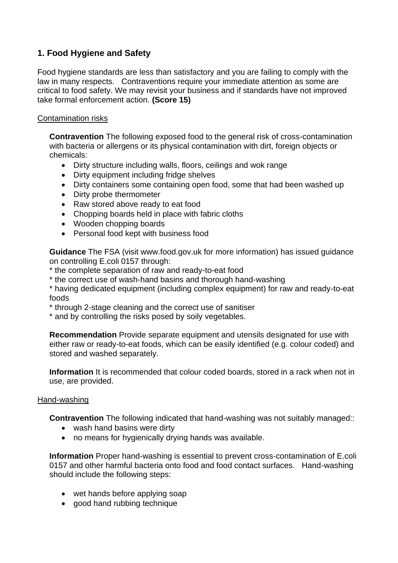# **1. Food Hygiene and Safety**

Food hygiene standards are less than satisfactory and you are failing to comply with the law in many respects. Contraventions require your immediate attention as some are critical to food safety. We may revisit your business and if standards have not improved take formal enforcement action. **(Score 15)**

#### Contamination risks

**Contravention** The following exposed food to the general risk of cross-contamination with bacteria or allergens or its physical contamination with dirt, foreign objects or chemicals:

- Dirty structure including walls, floors, ceilings and wok range
- Dirty equipment including fridge shelves
- Dirty containers some containing open food, some that had been washed up
- Dirty probe thermometer
- Raw stored above ready to eat food
- Chopping boards held in place with fabric cloths
- Wooden chopping boards
- Personal food kept with business food

**Guidance** The FSA (visit www.food.gov.uk for more information) has issued guidance on controlling E.coli 0157 through:

- \* the complete separation of raw and ready-to-eat food
- \* the correct use of wash-hand basins and thorough hand-washing

\* having dedicated equipment (including complex equipment) for raw and ready-to-eat foods

\* through 2-stage cleaning and the correct use of sanitiser

\* and by controlling the risks posed by soily vegetables.

**Recommendation** Provide separate equipment and utensils designated for use with either raw or ready-to-eat foods, which can be easily identified (e.g. colour coded) and stored and washed separately.

**Information** It is recommended that colour coded boards, stored in a rack when not in use, are provided.

#### Hand-washing

**Contravention** The following indicated that hand-washing was not suitably managed::

- wash hand basins were dirty
- no means for hygienically drying hands was available.

**Information** Proper hand-washing is essential to prevent cross-contamination of E.coli 0157 and other harmful bacteria onto food and food contact surfaces. Hand-washing should include the following steps:

- wet hands before applying soap
- good hand rubbing technique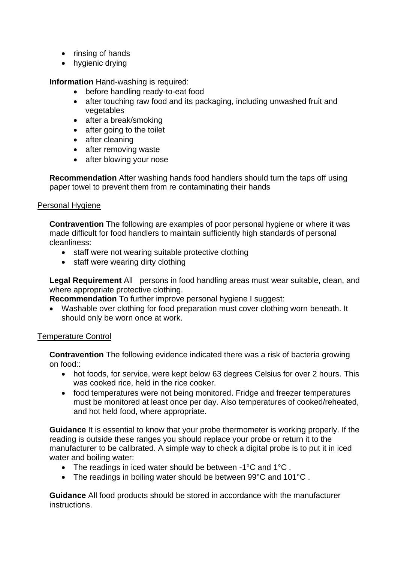- rinsing of hands
- hygienic drying

**Information** Hand-washing is required:

- before handling ready-to-eat food
- after touching raw food and its packaging, including unwashed fruit and vegetables
- after a break/smoking
- after going to the toilet
- after cleaning
- after removing waste
- after blowing your nose

**Recommendation** After washing hands food handlers should turn the taps off using paper towel to prevent them from re contaminating their hands

#### Personal Hygiene

**Contravention** The following are examples of poor personal hygiene or where it was made difficult for food handlers to maintain sufficiently high standards of personal cleanliness:

- staff were not wearing suitable protective clothing
- staff were wearing dirty clothing

**Legal Requirement** All persons in food handling areas must wear suitable, clean, and where appropriate protective clothing.

**Recommendation** To further improve personal hygiene I suggest:

• Washable over clothing for food preparation must cover clothing worn beneath. It should only be worn once at work.

#### Temperature Control

**Contravention** The following evidence indicated there was a risk of bacteria growing on food::

- hot foods, for service, were kept below 63 degrees Celsius for over 2 hours. This was cooked rice, held in the rice cooker.
- food temperatures were not being monitored. Fridge and freezer temperatures must be monitored at least once per day. Also temperatures of cooked/reheated, and hot held food, where appropriate.

**Guidance** It is essential to know that your probe thermometer is working properly. If the reading is outside these ranges you should replace your probe or return it to the manufacturer to be calibrated. A simple way to check a digital probe is to put it in iced water and boiling water:

- The readings in iced water should be between -1°C and 1°C .
- The readings in boiling water should be between 99°C and 101°C .

**Guidance** All food products should be stored in accordance with the manufacturer instructions.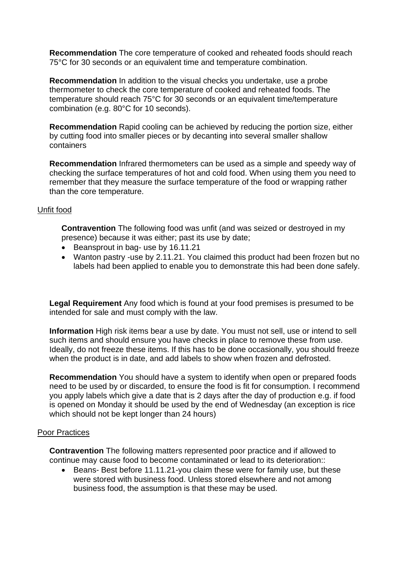**Recommendation** The core temperature of cooked and reheated foods should reach 75°C for 30 seconds or an equivalent time and temperature combination.

**Recommendation** In addition to the visual checks you undertake, use a probe thermometer to check the core temperature of cooked and reheated foods. The temperature should reach 75°C for 30 seconds or an equivalent time/temperature combination (e.g. 80°C for 10 seconds).

**Recommendation** Rapid cooling can be achieved by reducing the portion size, either by cutting food into smaller pieces or by decanting into several smaller shallow containers

**Recommendation** Infrared thermometers can be used as a simple and speedy way of checking the surface temperatures of hot and cold food. When using them you need to remember that they measure the surface temperature of the food or wrapping rather than the core temperature.

### Unfit food

**Contravention** The following food was unfit (and was seized or destroyed in my presence) because it was either; past its use by date;

- Beansprout in bag- use by 16.11.21
- Wanton pastry -use by 2.11.21. You claimed this product had been frozen but no labels had been applied to enable you to demonstrate this had been done safely.

**Legal Requirement** Any food which is found at your food premises is presumed to be intended for sale and must comply with the law.

**Information** High risk items bear a use by date. You must not sell, use or intend to sell such items and should ensure you have checks in place to remove these from use. Ideally, do not freeze these items. If this has to be done occasionally, you should freeze when the product is in date, and add labels to show when frozen and defrosted.

**Recommendation** You should have a system to identify when open or prepared foods need to be used by or discarded, to ensure the food is fit for consumption. I recommend you apply labels which give a date that is 2 days after the day of production e.g. if food is opened on Monday it should be used by the end of Wednesday (an exception is rice which should not be kept longer than 24 hours)

#### Poor Practices

**Contravention** The following matters represented poor practice and if allowed to continue may cause food to become contaminated or lead to its deterioration::

• Beans- Best before 11.11.21-you claim these were for family use, but these were stored with business food. Unless stored elsewhere and not among business food, the assumption is that these may be used.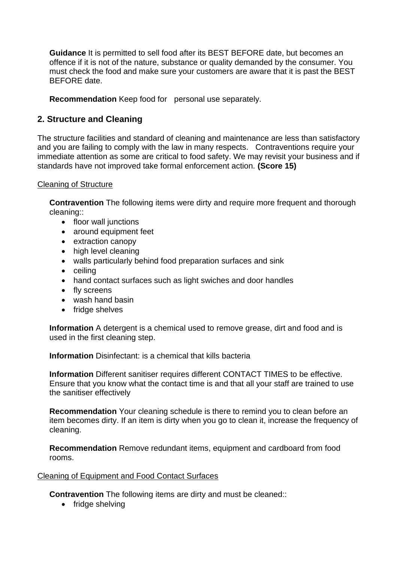**Guidance** It is permitted to sell food after its BEST BEFORE date, but becomes an offence if it is not of the nature, substance or quality demanded by the consumer. You must check the food and make sure your customers are aware that it is past the BEST BEFORE date.

**Recommendation** Keep food for personal use separately.

## **2. Structure and Cleaning**

The structure facilities and standard of cleaning and maintenance are less than satisfactory and you are failing to comply with the law in many respects. Contraventions require your immediate attention as some are critical to food safety. We may revisit your business and if standards have not improved take formal enforcement action. **(Score 15)**

#### Cleaning of Structure

**Contravention** The following items were dirty and require more frequent and thorough cleaning::

- floor wall junctions
- around equipment feet
- extraction canopy
- high level cleaning
- walls particularly behind food preparation surfaces and sink
- ceiling
- hand contact surfaces such as light swiches and door handles
- fly screens
- wash hand basin
- fridge shelves

**Information** A detergent is a chemical used to remove grease, dirt and food and is used in the first cleaning step.

**Information** Disinfectant: is a chemical that kills bacteria

**Information** Different sanitiser requires different CONTACT TIMES to be effective. Ensure that you know what the contact time is and that all your staff are trained to use the sanitiser effectively

**Recommendation** Your cleaning schedule is there to remind you to clean before an item becomes dirty. If an item is dirty when you go to clean it, increase the frequency of cleaning.

**Recommendation** Remove redundant items, equipment and cardboard from food rooms.

#### Cleaning of Equipment and Food Contact Surfaces

**Contravention** The following items are dirty and must be cleaned::

• fridge shelving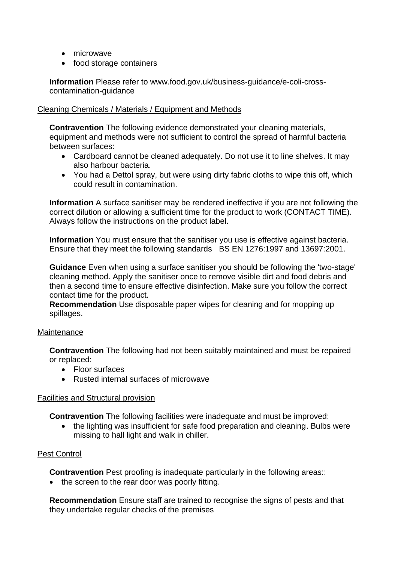- microwave
- food storage containers

**Information** Please refer to www.food.gov.uk/business-guidance/e-coli-crosscontamination-guidance

#### Cleaning Chemicals / Materials / Equipment and Methods

**Contravention** The following evidence demonstrated your cleaning materials, equipment and methods were not sufficient to control the spread of harmful bacteria between surfaces:

- Cardboard cannot be cleaned adequately. Do not use it to line shelves. It may also harbour bacteria.
- You had a Dettol spray, but were using dirty fabric cloths to wipe this off, which could result in contamination.

**Information** A surface sanitiser may be rendered ineffective if you are not following the correct dilution or allowing a sufficient time for the product to work (CONTACT TIME). Always follow the instructions on the product label.

**Information** You must ensure that the sanitiser you use is effective against bacteria. Ensure that they meet the following standards BS EN 1276:1997 and 13697:2001.

**Guidance** Even when using a surface sanitiser you should be following the 'two-stage' cleaning method. Apply the sanitiser once to remove visible dirt and food debris and then a second time to ensure effective disinfection. Make sure you follow the correct contact time for the product.

**Recommendation** Use disposable paper wipes for cleaning and for mopping up spillages.

#### **Maintenance**

**Contravention** The following had not been suitably maintained and must be repaired or replaced:

- Floor surfaces
- Rusted internal surfaces of microwave

#### Facilities and Structural provision

**Contravention** The following facilities were inadequate and must be improved:

• the lighting was insufficient for safe food preparation and cleaning. Bulbs were missing to hall light and walk in chiller.

#### Pest Control

**Contravention** Pest proofing is inadequate particularly in the following areas::

• the screen to the rear door was poorly fitting.

**Recommendation** Ensure staff are trained to recognise the signs of pests and that they undertake regular checks of the premises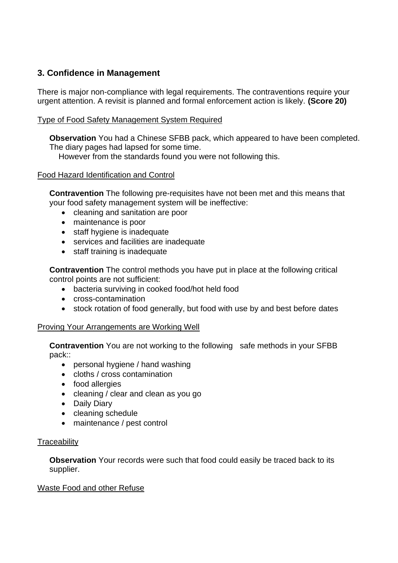# **3. Confidence in Management**

There is major non-compliance with legal requirements. The contraventions require your urgent attention. A revisit is planned and formal enforcement action is likely. **(Score 20)**

## Type of Food Safety Management System Required

**Observation** You had a Chinese SFBB pack, which appeared to have been completed. The diary pages had lapsed for some time.

However from the standards found you were not following this.

### Food Hazard Identification and Control

**Contravention** The following pre-requisites have not been met and this means that your food safety management system will be ineffective:

- cleaning and sanitation are poor
- maintenance is poor
- staff hygiene is inadequate
- services and facilities are inadequate
- staff training is inadequate

**Contravention** The control methods you have put in place at the following critical control points are not sufficient:

- bacteria surviving in cooked food/hot held food
- cross-contamination
- stock rotation of food generally, but food with use by and best before dates

#### Proving Your Arrangements are Working Well

**Contravention** You are not working to the following safe methods in your SFBB pack::

- personal hygiene / hand washing
- cloths / cross contamination
- food allergies
- cleaning / clear and clean as you go
- Daily Diary
- cleaning schedule
- maintenance / pest control

#### **Traceability**

**Observation** Your records were such that food could easily be traced back to its supplier.

#### Waste Food and other Refuse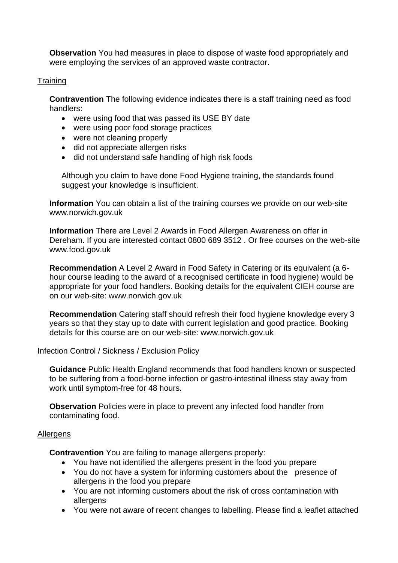**Observation** You had measures in place to dispose of waste food appropriately and were employing the services of an approved waste contractor.

#### **Training**

**Contravention** The following evidence indicates there is a staff training need as food handlers:

- were using food that was passed its USE BY date
- were using poor food storage practices
- were not cleaning properly
- did not appreciate allergen risks
- did not understand safe handling of high risk foods

Although you claim to have done Food Hygiene training, the standards found suggest your knowledge is insufficient.

**Information** You can obtain a list of the training courses we provide on our web-site www.norwich.gov.uk

**Information** There are Level 2 Awards in Food Allergen Awareness on offer in Dereham. If you are interested contact 0800 689 3512 . Or free courses on the web-site www.food.gov.uk

**Recommendation** A Level 2 Award in Food Safety in Catering or its equivalent (a 6 hour course leading to the award of a recognised certificate in food hygiene) would be appropriate for your food handlers. Booking details for the equivalent CIEH course are on our web-site: www.norwich.gov.uk

**Recommendation** Catering staff should refresh their food hygiene knowledge every 3 years so that they stay up to date with current legislation and good practice. Booking details for this course are on our web-site: www.norwich.gov.uk

#### Infection Control / Sickness / Exclusion Policy

**Guidance** Public Health England recommends that food handlers known or suspected to be suffering from a food-borne infection or gastro-intestinal illness stay away from work until symptom-free for 48 hours.

**Observation** Policies were in place to prevent any infected food handler from contaminating food.

#### Allergens

**Contravention** You are failing to manage allergens properly:

- You have not identified the allergens present in the food you prepare
- You do not have a system for informing customers about the presence of allergens in the food you prepare
- You are not informing customers about the risk of cross contamination with allergens
- You were not aware of recent changes to labelling. Please find a leaflet attached